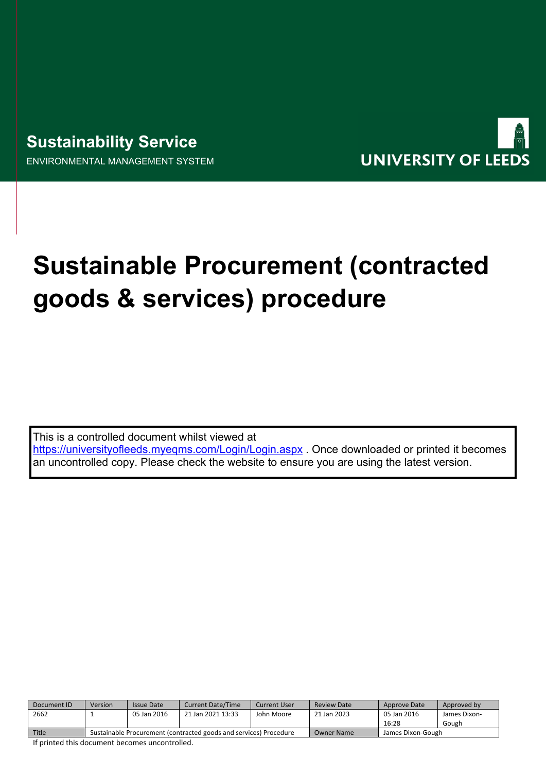# **Sustainability Service**

ENVIRONMENTAL MANAGEMENT SYSTEM



# **Sustainable Procurement (contracted goods & services) procedure**

This is a controlled document whilst viewed at <https://universityofleeds.myeqms.com/Login/Login.aspx> . Once downloaded or printed it becomes an uncontrolled copy. Please check the website to ensure you are using the latest version.

| Document ID | Version                                                           | Issue Date  | <b>Current Date/Time</b> | Current User      | Review Date       | Approve Date | Approved by  |
|-------------|-------------------------------------------------------------------|-------------|--------------------------|-------------------|-------------------|--------------|--------------|
| 2662        |                                                                   | 05 Jan 2016 | 21 Jan 2021 13:33        | John Moore        | 21 Jan 2023       | 05 Jan 2016  | James Dixon- |
|             |                                                                   |             |                          |                   |                   | 16:28        | Gough        |
| Title       | Sustainable Procurement (contracted goods and services) Procedure |             |                          | <b>Owner Name</b> | James Dixon-Gough |              |              |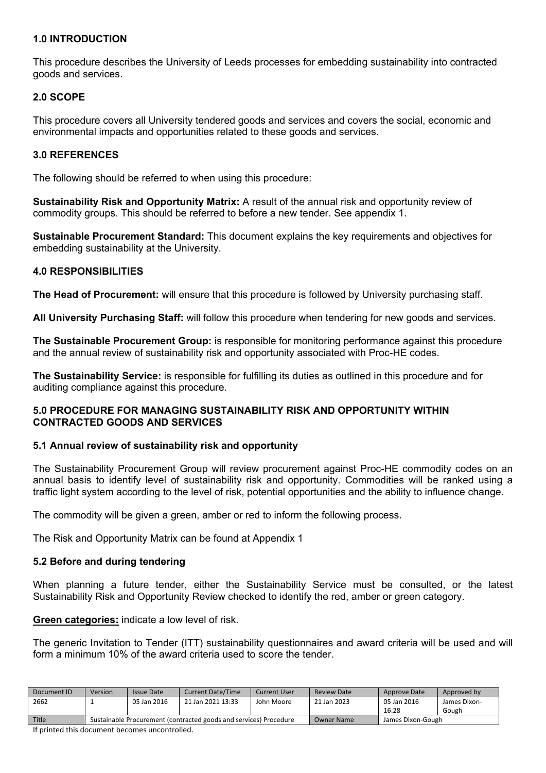#### **1.0 INTRODUCTION**

This procedure describes the University of Leeds processes for embedding sustainability into contracted goods and services.

## **2.0 SCOPE**

This procedure covers all University tendered goods and services and covers the social, economic and environmental impacts and opportunities related to these goods and services.

## **3.0 REFERENCES**

The following should be referred to when using this procedure:

**Sustainability Risk and Opportunity Matrix:** A result of the annual risk and opportunity review of commodity groups. This should be referred to before a new tender. See appendix 1.

**Sustainable Procurement Standard:** This document explains the key requirements and objectives for embedding sustainability at the University.

#### **4.0 RESPONSIBILITIES**

**The Head of Procurement:** will ensure that this procedure is followed by University purchasing staff.

**All University Purchasing Staff:** will follow this procedure when tendering for new goods and services.

**The Sustainable Procurement Group:** is responsible for monitoring performance against this procedure and the annual review of sustainability risk and opportunity associated with Proc-HE codes.

**The Sustainability Service:** is responsible for fulfilling its duties as outlined in this procedure and for auditing compliance against this procedure.

#### **5.0 PROCEDURE FOR MANAGING SUSTAINABILITY RISK AND OPPORTUNITY WITHIN CONTRACTED GOODS AND SERVICES**

#### **5.1 Annual review of sustainability risk and opportunity**

The Sustainability Procurement Group will review procurement against Proc-HE commodity codes on an annual basis to identify level of sustainability risk and opportunity. Commodities will be ranked using a traffic light system according to the level of risk, potential opportunities and the ability to influence change.

The commodity will be given a green, amber or red to inform the following process.

The Risk and Opportunity Matrix can be found at Appendix 1

#### **5.2 Before and during tendering**

When planning a future tender, either the Sustainability Service must be consulted, or the latest Sustainability Risk and Opportunity Review checked to identify the red, amber or green category.

**Green categories:** indicate a low level of risk.

The generic Invitation to Tender (ITT) sustainability questionnaires and award criteria will be used and will form a minimum 10% of the award criteria used to score the tender.

| Document ID  | Version                                                           | <b>Issue Date</b> | <b>Current Date/Time</b> | Current User      | <b>Review Date</b> | Approve Date | Approved by  |
|--------------|-------------------------------------------------------------------|-------------------|--------------------------|-------------------|--------------------|--------------|--------------|
| 2662         |                                                                   | 05 Jan 2016       | 21 Jan 2021 13:33        | John Moore        | 21 Jan 2023        | 05 Jan 2016  | James Dixon- |
|              |                                                                   |                   |                          |                   |                    | 16:28        | Gough        |
| <b>Title</b> | Sustainable Procurement (contracted goods and services) Procedure |                   |                          | <b>Owner Name</b> | James Dixon-Gough  |              |              |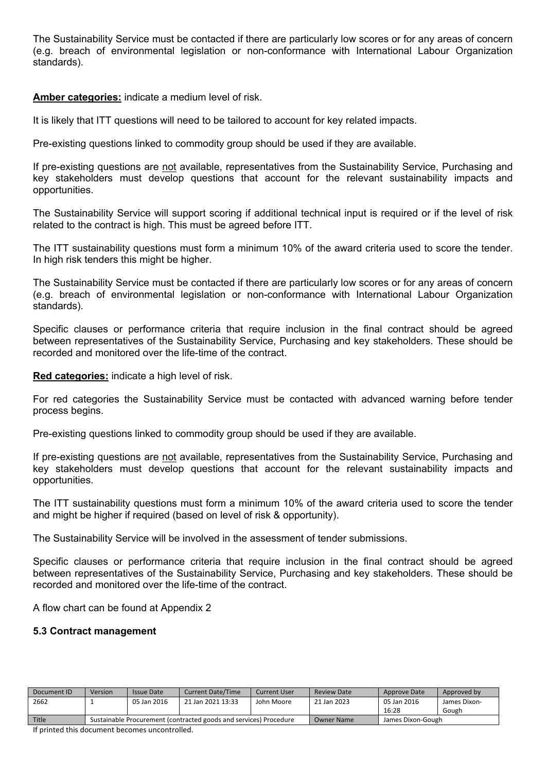The Sustainability Service must be contacted if there are particularly low scores or for any areas of concern (e.g. breach of environmental legislation or non-conformance with International Labour Organization standards).

**Amber categories:** indicate a medium level of risk.

It is likely that ITT questions will need to be tailored to account for key related impacts.

Pre-existing questions linked to commodity group should be used if they are available.

If pre-existing questions are not available, representatives from the Sustainability Service, Purchasing and key stakeholders must develop questions that account for the relevant sustainability impacts and opportunities.

The Sustainability Service will support scoring if additional technical input is required or if the level of risk related to the contract is high. This must be agreed before ITT.

The ITT sustainability questions must form a minimum 10% of the award criteria used to score the tender. In high risk tenders this might be higher.

The Sustainability Service must be contacted if there are particularly low scores or for any areas of concern (e.g. breach of environmental legislation or non-conformance with International Labour Organization standards).

Specific clauses or performance criteria that require inclusion in the final contract should be agreed between representatives of the Sustainability Service, Purchasing and key stakeholders. These should be recorded and monitored over the life-time of the contract.

**Red categories:** indicate a high level of risk.

For red categories the Sustainability Service must be contacted with advanced warning before tender process begins.

Pre-existing questions linked to commodity group should be used if they are available.

If pre-existing questions are not available, representatives from the Sustainability Service, Purchasing and key stakeholders must develop questions that account for the relevant sustainability impacts and opportunities.

The ITT sustainability questions must form a minimum 10% of the award criteria used to score the tender and might be higher if required (based on level of risk & opportunity).

The Sustainability Service will be involved in the assessment of tender submissions.

Specific clauses or performance criteria that require inclusion in the final contract should be agreed between representatives of the Sustainability Service, Purchasing and key stakeholders. These should be recorded and monitored over the life-time of the contract.

A flow chart can be found at Appendix 2

#### **5.3 Contract management**

| Document ID | Version                                                           | <b>Issue Date</b> | <b>Current Date/Time</b> | <b>Current User</b> | <b>Review Date</b> | Approve Date | Approved by  |
|-------------|-------------------------------------------------------------------|-------------------|--------------------------|---------------------|--------------------|--------------|--------------|
| 2662        |                                                                   | 05 Jan 2016       | 21 Jan 2021 13:33        | John Moore          | 21 Jan 2023        | 05 Jan 2016  | James Dixon- |
|             |                                                                   |                   |                          |                     |                    | 16:28        | Gough        |
| Title       | Sustainable Procurement (contracted goods and services) Procedure |                   |                          | Owner Name          | James Dixon-Gough  |              |              |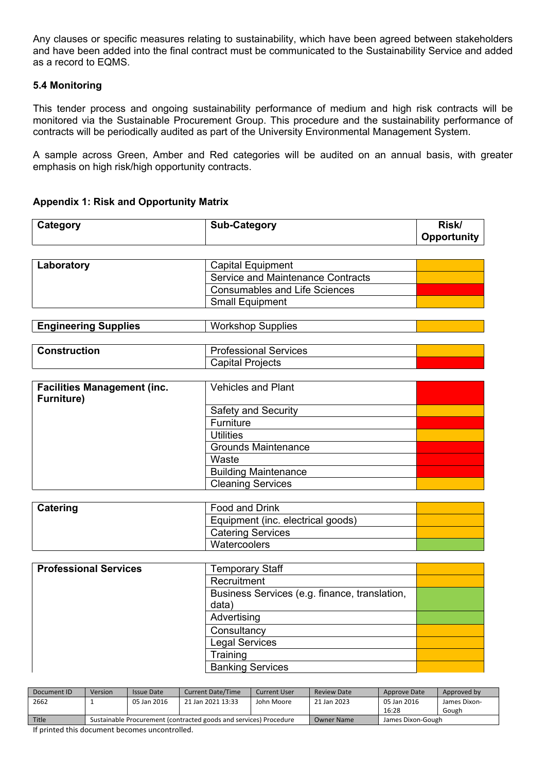Any clauses or specific measures relating to sustainability, which have been agreed between stakeholders and have been added into the final contract must be communicated to the Sustainability Service and added as a record to EQMS.

#### **5.4 Monitoring**

This tender process and ongoing sustainability performance of medium and high risk contracts will be monitored via the Sustainable Procurement Group. This procedure and the sustainability performance of contracts will be periodically audited as part of the University Environmental Management System.

A sample across Green, Amber and Red categories will be audited on an annual basis, with greater emphasis on high risk/high opportunity contracts.

#### **Appendix 1: Risk and Opportunity Matrix**

| Category                           | <b>Sub-Category</b>                           | Risk/       |
|------------------------------------|-----------------------------------------------|-------------|
|                                    |                                               | Opportunity |
|                                    |                                               |             |
| Laboratory                         | <b>Capital Equipment</b>                      |             |
|                                    | <b>Service and Maintenance Contracts</b>      |             |
|                                    | <b>Consumables and Life Sciences</b>          |             |
|                                    | <b>Small Equipment</b>                        |             |
|                                    |                                               |             |
| <b>Engineering Supplies</b>        | <b>Workshop Supplies</b>                      |             |
|                                    |                                               |             |
| <b>Construction</b>                | <b>Professional Services</b>                  |             |
|                                    | <b>Capital Projects</b>                       |             |
|                                    |                                               |             |
| <b>Facilities Management (inc.</b> | <b>Vehicles and Plant</b>                     |             |
| Furniture)                         |                                               |             |
|                                    | Safety and Security                           |             |
|                                    | Furniture                                     |             |
|                                    | <b>Utilities</b>                              |             |
|                                    | <b>Grounds Maintenance</b>                    |             |
|                                    | Waste                                         |             |
|                                    | <b>Building Maintenance</b>                   |             |
|                                    | <b>Cleaning Services</b>                      |             |
|                                    |                                               |             |
| <b>Catering</b>                    | Food and Drink                                |             |
|                                    | Equipment (inc. electrical goods)             |             |
|                                    | <b>Catering Services</b>                      |             |
|                                    | Watercoolers                                  |             |
| <b>Professional Services</b>       |                                               |             |
|                                    | <b>Temporary Staff</b>                        |             |
|                                    | Recruitment                                   |             |
|                                    | Business Services (e.g. finance, translation, |             |
|                                    | data)                                         |             |
|                                    | Advertising                                   |             |
|                                    | Consultancy                                   |             |
|                                    | <b>Legal Services</b>                         |             |
|                                    | Training                                      |             |
|                                    | <b>Banking Services</b>                       |             |
|                                    |                                               |             |

| Document ID | Version                                                           | <b>Issue Date</b> | <b>Current Date/Time</b> | Current User      | <b>Review Date</b> | Approve Date | Approved by  |
|-------------|-------------------------------------------------------------------|-------------------|--------------------------|-------------------|--------------------|--------------|--------------|
| 2662        |                                                                   | 05 Jan 2016       | 21 Jan 2021 13:33        | John Moore        | 21 Jan 2023        | 05 Jan 2016  | James Dixon- |
|             |                                                                   |                   |                          |                   |                    | 16:28        | Gough        |
| Title       | Sustainable Procurement (contracted goods and services) Procedure |                   |                          | <b>Owner Name</b> | James Dixon-Gough  |              |              |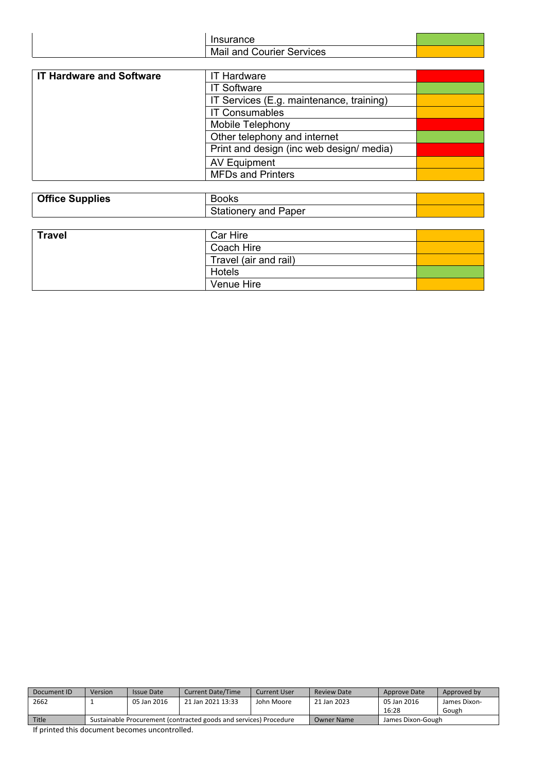|                                 | Insurance                                |  |
|---------------------------------|------------------------------------------|--|
|                                 | <b>Mail and Courier Services</b>         |  |
|                                 |                                          |  |
| <b>IT Hardware and Software</b> | <b>IT Hardware</b>                       |  |
|                                 | <b>IT Software</b>                       |  |
|                                 | IT Services (E.g. maintenance, training) |  |
|                                 | <b>IT Consumables</b>                    |  |
|                                 | Mobile Telephony                         |  |
|                                 | Other telephony and internet             |  |
|                                 | Print and design (inc web design/ media) |  |
|                                 | <b>AV Equipment</b>                      |  |
|                                 | <b>MFDs and Printers</b>                 |  |
|                                 |                                          |  |
| <b>Office Supplies</b>          | <b>Books</b>                             |  |
|                                 | <b>Stationery and Paper</b>              |  |
|                                 |                                          |  |
| <b>Travel</b>                   | Car Hire                                 |  |
|                                 | Coach Hire                               |  |

Travel (air and rail)

**Hotels** Venue Hire

| Document ID  | Version                                                           | <b>Issue Date</b> | <b>Current Date/Time</b> | Current User | <b>Review Date</b> | Approve Date | Approved by  |
|--------------|-------------------------------------------------------------------|-------------------|--------------------------|--------------|--------------------|--------------|--------------|
| 2662         |                                                                   | 05 Jan 2016       | 21 Jan 2021 13:33        | John Moore   | 21 Jan 2023        | 05 Jan 2016  | James Dixon- |
|              |                                                                   |                   |                          |              |                    | 16:28        | Gough        |
| <b>Title</b> | Sustainable Procurement (contracted goods and services) Procedure |                   |                          | Owner Name   | James Dixon-Gough  |              |              |
|              |                                                                   |                   |                          |              |                    |              |              |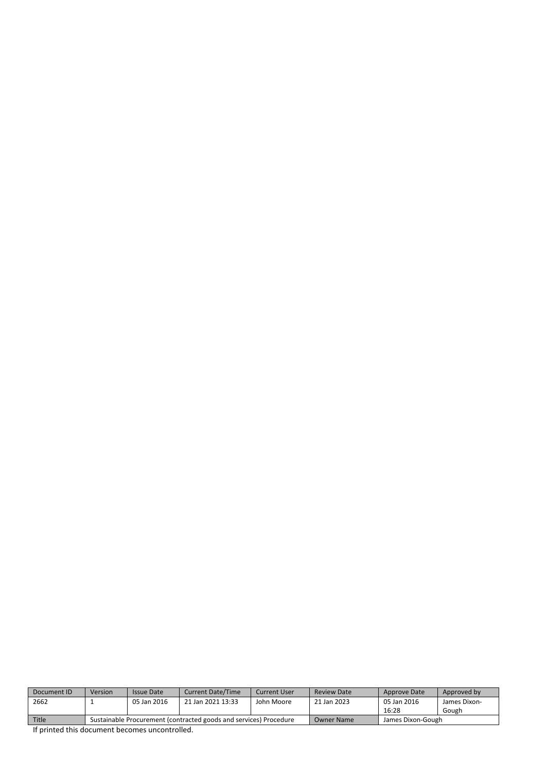| Document ID  | Version                                                           | Issue Date  | <b>Current Date/Time</b> | Current User      | <b>Review Date</b> | Approve Date | Approved by  |
|--------------|-------------------------------------------------------------------|-------------|--------------------------|-------------------|--------------------|--------------|--------------|
| 2662         |                                                                   | 05 Jan 2016 | 21 Jan 2021 13:33        | John Moore        | 21 Jan 2023        | 05 Jan 2016  | James Dixon- |
|              |                                                                   |             |                          |                   |                    | 16:28        | Gough        |
| <b>Title</b> | Sustainable Procurement (contracted goods and services) Procedure |             |                          | <b>Owner Name</b> | James Dixon-Gough  |              |              |